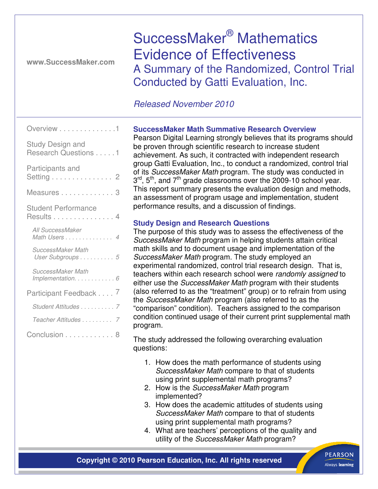**www.SuccessMaker.com** 

SuccessMaker® Mathematics Evidence of Effectiveness A Summary of the Randomized, Control Trial Conducted by Gatti Evaluation, Inc.

# Released November 2010

| Overview 1                                      |
|-------------------------------------------------|
| <b>Study Design and</b><br>Research Questions 1 |
| Participants and<br>Setting 2                   |
| Measures 3                                      |
| <b>Student Performance</b><br>Results 4         |
| All SuccessMaker<br>Math Users 4                |
| SuccessMaker Math<br>User Subgroups 5           |
| SuccessMaker Math<br>Implementation. 6          |
| Participant Feedback 7                          |
| Student Attitudes 7                             |
| Teacher Attitudes 7                             |
| Conclusion 8                                    |

# **SuccessMaker Math Summative Research Overview**

Pearson Digital Learning strongly believes that its programs should be proven through scientific research to increase student achievement. As such, it contracted with independent research group Gatti Evaluation, Inc., to conduct a randomized, control trial of its SuccessMaker Math program. The study was conducted in  $3<sup>rd</sup>$ , 5<sup>th</sup>, and 7<sup>th</sup> grade classrooms over the 2009-10 school year. This report summary presents the evaluation design and methods, an assessment of program usage and implementation, student performance results, and a discussion of findings.

# **Study Design and Research Questions**

The purpose of this study was to assess the effectiveness of the SuccessMaker Math program in helping students attain critical math skills and to document usage and implementation of the SuccessMaker Math program. The study employed an experimental randomized, control trial research design. That is, teachers within each research school were randomly assigned to either use the *SuccessMaker Math* program with their students (also referred to as the "treatment" group) or to refrain from using the SuccessMaker Math program (also referred to as the "comparison" condition). Teachers assigned to the comparison condition continued usage of their current print supplemental math program.

The study addressed the following overarching evaluation questions:

- 1. How does the math performance of students using SuccessMaker Math compare to that of students using print supplemental math programs?
- 2. How is the SuccessMaker Math program implemented?
- 3. How does the academic attitudes of students using SuccessMaker Math compare to that of students using print supplemental math programs?
- 4. What are teachers' perceptions of the quality and utility of the SuccessMaker Math program?

**Copyright © 2010 Pearson Education, Inc. All rights reserved**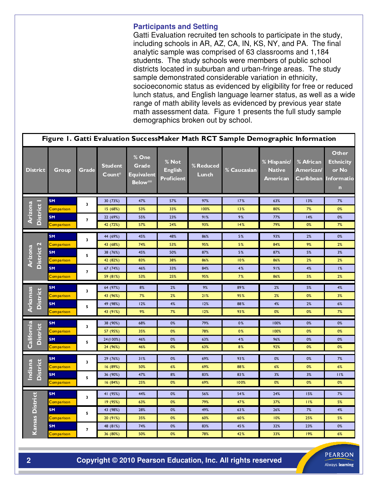#### **Participants and Setting**

Gatti Evaluation recruited ten schools to participate in the study, including schools in AR, AZ, CA, IN, KS, NY, and PA. The final analytic sample was comprised of 63 classrooms and 1,184 students. The study schools were members of public school districts located in suburban and urban-fringe areas. The study sample demonstrated considerable variation in ethnicity, socioeconomic status as evidenced by eligibility for free or reduced lunch status, and English language learner status, as well as a wide range of math ability levels as evidenced by previous year state math assessment data. Figure 1 presents the full study sample demographics broken out by school.

| Figure 1. Gatti Evaluation SuccessMaker Math RCT Sample Demographic Information |                   |                         |                          |                                                       |                                              |                    |             |                                                 |                                                   |                                                                 |
|---------------------------------------------------------------------------------|-------------------|-------------------------|--------------------------|-------------------------------------------------------|----------------------------------------------|--------------------|-------------|-------------------------------------------------|---------------------------------------------------|-----------------------------------------------------------------|
| <b>District</b>                                                                 | Group             | Grade                   | <b>Student</b><br>Count* | % One<br>Grade<br><b>Equivalent</b><br><b>Below**</b> | % Not<br><b>English</b><br><b>Proficient</b> | % Reduced<br>Lunch | % Caucasian | % Hispanic/<br><b>Native</b><br><b>American</b> | % African<br><b>American/</b><br><b>Caribbean</b> | Other<br><b>Ethnicity</b><br>or No<br>Informatio<br>$\mathbf n$ |
| District I<br>Arizona                                                           | <b>SM</b>         | $\overline{\mathbf{3}}$ | 30 (73%)                 | 47%                                                   | 57%                                          | 97%                | 17%         | 63%                                             | 13%                                               | 7%                                                              |
|                                                                                 | Comparison        |                         | 15 (68%)                 | 53%                                                   | 33%                                          | 100%               | 13%         | 80%                                             | 7%                                                | 0%                                                              |
|                                                                                 | <b>SM</b>         | $\overline{\mathbf{z}}$ | 22 (69%)                 | 55%                                                   | 23%                                          | 91%                | 9%          | 77%                                             | 14%                                               | 0%                                                              |
|                                                                                 | <b>Comparison</b> |                         | 42 (72%)                 | 57%                                                   | 24%                                          | 93%                | 14%         | 79%                                             | 0%                                                | 7%                                                              |
|                                                                                 | <b>SM</b>         | 3                       | 44 (69%)                 | 45%                                                   | 48%                                          | 86%                | 5%          | 93%                                             | 2%                                                | 0%                                                              |
|                                                                                 | Comparison        |                         | 43 (68%)                 | 74%                                                   | 53%                                          | 95%                | 5%          | 84%                                             | 9%                                                | 2%                                                              |
| District 2<br>Arizona                                                           | <b>SM</b>         | 5                       | 38 (76%)                 | 45%                                                   | 50%                                          | 87%                | 5%          | 87%                                             | 5%                                                | 3%                                                              |
|                                                                                 | Comparison        |                         | 42 (82%)                 | 83%                                                   | 38%                                          | 86%                | 10%         | 86%                                             | 2%                                                | 2%                                                              |
|                                                                                 | <b>SM</b>         | 7                       | 67 (74%)                 | 46%                                                   | 33%                                          | 84%                | 4%          | 91%                                             | 4%                                                | 1%                                                              |
|                                                                                 | <b>Comparison</b> |                         | 59 (81%)                 | 53%                                                   | 25%                                          | 95%                | 7%          | 86%                                             | 5%                                                | 2%                                                              |
|                                                                                 | <b>SM</b>         | 3                       | 64 (97%)                 | 8%                                                    | 2%                                           | 9%                 | 89%         | 2%                                              | 5%                                                | 4%                                                              |
|                                                                                 | Comparison        |                         | 43 (96%)                 | 7%                                                    | 2%                                           | 21%                | 95%         | 2%                                              | 0%                                                | 3%                                                              |
| <b>Arkansas</b><br><b>District</b>                                              | <b>SM</b>         | 5                       | 49 (98%)                 | 12%                                                   | 4%                                           | 12%                | 88%         | 4%                                              | 2%                                                | 6%                                                              |
|                                                                                 | <b>Comparison</b> |                         | 43 (91%)                 | 9%                                                    | 7%                                           | 12%                | 93%         | 0%                                              | 0%                                                | 7%                                                              |
|                                                                                 | <b>SM</b>         | 3                       | 38 (90%)                 | 68%                                                   | 0%                                           | 79%                | 0%          | 100%                                            | $0\%$                                             | 0%                                                              |
|                                                                                 | <b>Comparison</b> |                         | 57 (95%)                 | 35%                                                   | $0\%$                                        | 78%                | 0%          | 100%                                            | 0%                                                | 0%                                                              |
| California<br><b>District</b>                                                   | <b>SM</b>         | 5                       | 24 (1 00%)               | 46%                                                   | 0%                                           | 63%                | 4%          | 96%                                             | 0%                                                | 0%                                                              |
|                                                                                 | Comparison        |                         | 24 (96%)                 | 46%                                                   | 0%                                           | 63%                | 8%          | 92%                                             | 0%                                                | 0%                                                              |
|                                                                                 | <b>SM</b>         | 29 (76%)                | 31%                      | 0%                                                    | 69%                                          | 93%                | 0%          | 0%                                              | 7%                                                |                                                                 |
| <b>District</b><br>Indiana                                                      | Comparison        | 3                       | 16 (89%)                 | 50%                                                   | 6%                                           | 69%                | 88%         | 6%                                              | 0%                                                | 6%                                                              |
|                                                                                 | <b>SM</b>         | 5                       | 36 (90%)                 | 47%                                                   | 8%                                           | 83%                | 83%         | 3%                                              | 3%                                                | 11%                                                             |
|                                                                                 | Comparison        |                         | 16 (84%)                 | 25%                                                   | 0%                                           | 69%                | 100%        | 0%                                              | 0%                                                | 0%                                                              |
|                                                                                 | <b>SM</b>         |                         | 41 (95%)                 | 44%                                                   | 0%                                           | 56%                | 54%         | 24%                                             | 15%                                               | 7%                                                              |
| Kansas District                                                                 | <b>Comparison</b> | 3                       | 19 (95%)                 | 63%                                                   | 0%                                           | 79%                | 47%         | 37%                                             | 11%                                               | 5%                                                              |
|                                                                                 | <b>SM</b>         | 5                       | 43 (98%)                 | 28%                                                   | 0%                                           | 49%                | 63%         | 26%                                             | 7%                                                | 4%                                                              |
|                                                                                 | Comparison        |                         | 20 (91%)                 | 35%                                                   | 0%                                           | 60%                | 60%         | 10%                                             | 25%                                               | 5%                                                              |
|                                                                                 | SM                | 7                       | 48 (81%)                 | 74%                                                   | 0%                                           | 83%                | 45%         | 32%                                             | 23%                                               | 0%                                                              |
|                                                                                 | <b>Comparison</b> |                         | 36 (80%)                 | 50%                                                   | 0%                                           | 78%                | 42%         | 33%                                             | 19%                                               | 6%                                                              |

**Copyright © 2010 Pearson Education, Inc. All rights reserved Copyright © 2010 Pearson Education, Inc. All rights reserved** 

**PEARSON** 

Always learning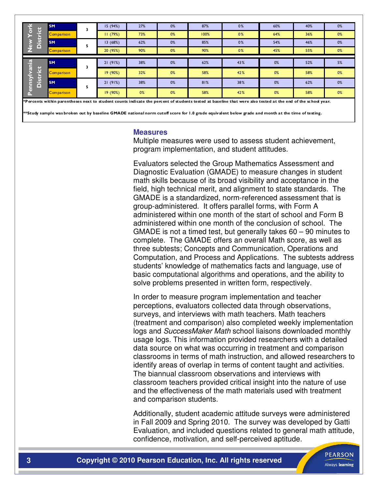| istrict<br>G<br>o<br>≏                                                                                                                                          | <b>SM</b>  | 3 | 15(94%)  | 27%   | 0% | 87%  | 0%  | 60% | 40% | 0% |
|-----------------------------------------------------------------------------------------------------------------------------------------------------------------|------------|---|----------|-------|----|------|-----|-----|-----|----|
|                                                                                                                                                                 | Comparison |   | 11(79%)  | 73%   | 0% | 100% | 0%  | 64% | 36% | 0% |
|                                                                                                                                                                 | <b>SM</b>  | 5 | 13(68%)  | 62%   | 0% | 85%  | 0%  | 54% | 46% | 0% |
|                                                                                                                                                                 | Comparison |   | 20 (95%) | 90%   | 0% | 90%  | 0%  | 45% | 55% | 0% |
| 오.<br>Ę<br><b>District</b><br>ίsυ<br>$\overline{5}$<br>n.                                                                                                       | <b>SM</b>  | 3 | 21(91%)  | 38%   | 0% | 62%  | 43% | 0%  | 52% | 5% |
|                                                                                                                                                                 |            |   |          |       |    |      |     |     |     |    |
|                                                                                                                                                                 | Comparison |   | 19(90%)  | 32%   | 0% | 58%  | 42% | 0%  | 58% | 0% |
|                                                                                                                                                                 | <b>SM</b>  | 5 | 21(91%)  | 38%   | 0% | 81%  | 38% | 0%  | 62% | 0% |
|                                                                                                                                                                 | Comparison |   | 19(90%)  | $0\%$ | 0% | 58%  | 42% | 0%  | 58% | 0% |
| $*$ Percents within parentheses next to student counts indicate the percent of students tested at baseline that were also tested at the end of the school year. |            |   |          |       |    |      |     |     |     |    |

\*\*Study sample was broken out by baseline GMADE national norm cutoff score for 1.0 grade equivalent below grade and month at the time of testing.

#### **Measures**

Multiple measures were used to assess student achievement, program implementation, and student attitudes.

Evaluators selected the Group Mathematics Assessment and Diagnostic Evaluation (GMADE) to measure changes in student math skills because of its broad visibility and acceptance in the field, high technical merit, and alignment to state standards. The GMADE is a standardized, norm-referenced assessment that is group-administered. It offers parallel forms, with Form A administered within one month of the start of school and Form B administered within one month of the conclusion of school. The GMADE is not a timed test, but generally takes 60 – 90 minutes to complete. The GMADE offers an overall Math score, as well as three subtests; Concepts and Communication, Operations and Computation, and Process and Applications. The subtests address students' knowledge of mathematics facts and language, use of basic computational algorithms and operations, and the ability to solve problems presented in written form, respectively.

In order to measure program implementation and teacher perceptions, evaluators collected data through observations, surveys, and interviews with math teachers. Math teachers (treatment and comparison) also completed weekly implementation logs and SuccessMaker Math school liaisons downloaded monthly usage logs. This information provided researchers with a detailed data source on what was occurring in treatment and comparison classrooms in terms of math instruction, and allowed researchers to identify areas of overlap in terms of content taught and activities. The biannual classroom observations and interviews with classroom teachers provided critical insight into the nature of use and the effectiveness of the math materials used with treatment and comparison students.

Additionally, student academic attitude surveys were administered in Fall 2009 and Spring 2010. The survey was developed by Gatti Evaluation, and included questions related to general math attitude, confidence, motivation, and self-perceived aptitude.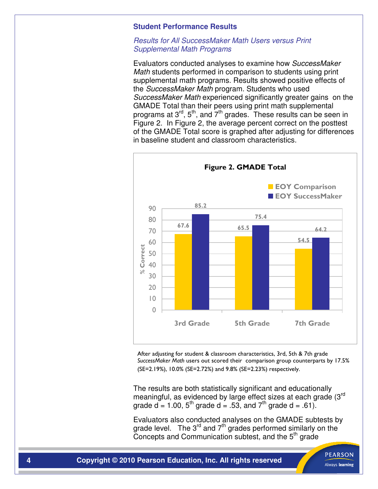#### **Student Performance Results**

# Results for All SuccessMaker Math Users versus Print Supplemental Math Programs

Evaluators conducted analyses to examine how SuccessMaker Math students performed in comparison to students using print supplemental math programs. Results showed positive effects of the SuccessMaker Math program. Students who used SuccessMaker Math experienced significantly greater gains on the GMADE Total than their peers using print math supplemental programs at  $3^{rd}$ ,  $5^{th}$ , and  $7^{th}$  grades. These results can be seen in Figure 2. In Figure 2, the average percent correct on the posttest of the GMADE Total score is graphed after adjusting for differences in baseline student and classroom characteristics.



After adjusting for student & classroom characteristics, 3rd, 5th & 7th grade SuccessMaker Math users out scored their comparison group counterparts by 17.5% (SE=2.19%), 10.0% (SE=2.72%) and 9.8% (SE=2.23%) respectively.

The results are both statistically significant and educationally meaningful, as evidenced by large effect sizes at each grade (3rd grade  $d = 1.00$ ,  $5<sup>th</sup>$  grade  $d = .53$ , and  $7<sup>th</sup>$  grade  $d = .61$ ).

Evaluators also conducted analyses on the GMADE subtests by grade level. The 3<sup>rd</sup> and  $7<sup>th</sup>$  grades performed similarly on the Concepts and Communication subtest, and the 5<sup>th</sup> grade

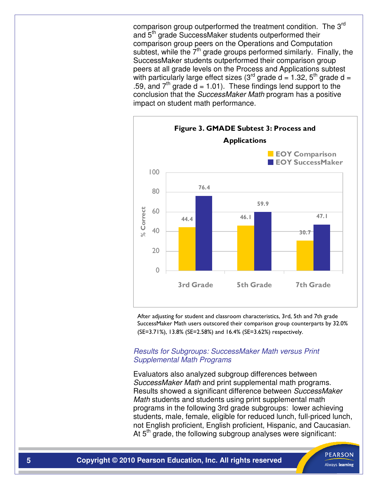comparison group outperformed the treatment condition. The 3<sup>rd</sup> and 5<sup>th</sup> grade SuccessMaker students outperformed their comparison group peers on the Operations and Computation subtest, while the  $7<sup>th</sup>$  grade groups performed similarly. Finally, the SuccessMaker students outperformed their comparison group peers at all grade levels on the Process and Applications subtest with particularly large effect sizes (3<sup>rd</sup> grade d = 1.32, 5<sup>th</sup> grade d = .59, and  $7<sup>th</sup>$  grade d = 1.01). These findings lend support to the conclusion that the *SuccessMaker Math* program has a positive impact on student math performance.



After adjusting for student and classroom characteristics, 3rd, 5th and 7th grade SuccessMaker Math users outscored their comparison group counterparts by 32.0% (SE=3.71%), 13.8% (SE=2.58%) and 16.4% (SE=3.62%) respectively.

# Results for Subgroups: SuccessMaker Math versus Print Supplemental Math Programs

Evaluators also analyzed subgroup differences between SuccessMaker Math and print supplemental math programs. Results showed a significant difference between SuccessMaker Math students and students using print supplemental math programs in the following 3rd grade subgroups: lower achieving students, male, female, eligible for reduced lunch, full-priced lunch, not English proficient, English proficient, Hispanic, and Caucasian. At  $5<sup>th</sup>$  grade, the following subgroup analyses were significant: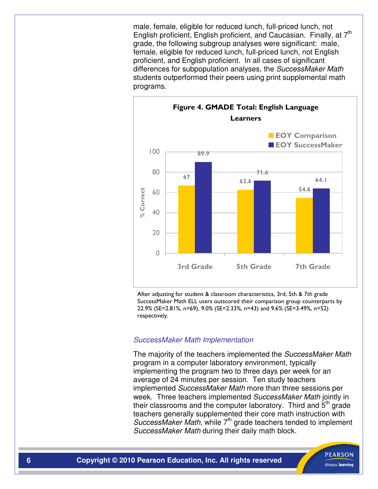male, female, eligible for reduced lunch, full-priced lunch, not English proficient, English proficient, and Caucasian. Finally, at 7<sup>th</sup> grade, the following subgroup analyses were significant: male, female, eligible for reduced lunch, full-priced lunch, not English proficient, and English proficient. In all cases of significant differences for subpopulation analyses, the SuccessMaker Math students outperformed their peers using print supplemental math programs.



After adjusting for student & classroom characteristics, 3rd, 5th & 7th grade SuccessMaker Math ELL users outscored their comparison group counterparts by 22.9% (SE=2.81%, n=69), 9.0% (SE=2.33%, n=43) and 9.6% (SE=3.49%, n=52) respectively.

#### SuccessMaker Math Implementation

The majority of the teachers implemented the SuccessMaker Math program in a computer laboratory environment, typically implementing the program two to three days per week for an average of 24 minutes per session. Ten study teachers implemented SuccessMaker Math more than three sessions per week. Three teachers implemented SuccessMaker Math jointly in their classrooms and the computer laboratory. Third and  $5<sup>th</sup>$  grade teachers generally supplemented their core math instruction with SuccessMaker Math, while  $7<sup>th</sup>$  grade teachers tended to implement SuccessMaker Math during their daily math block.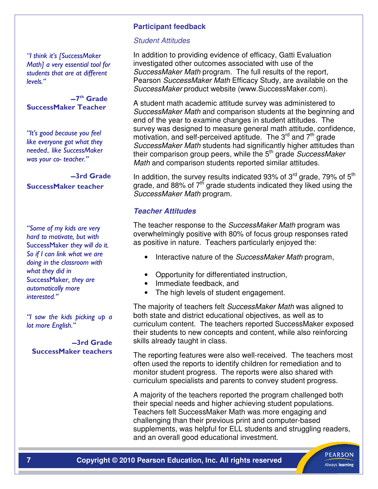"I think it's [SuccessMaker Math] a very essential tool for students that are at different levels."

-7<sup>th</sup> Grade SuccessMaker Teacher

"It's good because you feel like everyone got what they needed.. like SuccessMaker was your co- teacher."

 3rd Grade SuccessMaker teacher

"Some of my kids are very hard to motivate, but with SuccessMaker they will do it. So if I can link what we are doing in the classroom with what they did in SuccessMaker, they are automatically more interested."

"I saw the kids picking up a lot more English."

3rd Grade SuccessMaker teachers

# **Participant feedback**

#### Student Attitudes

In addition to providing evidence of efficacy, Gatti Evaluation investigated other outcomes associated with use of the SuccessMaker Math program. The full results of the report, Pearson Success Maker Math Efficacy Study, are available on the SuccessMaker product website (www.SuccessMaker.com).

A student math academic attitude survey was administered to SuccessMaker Math and comparison students at the beginning and end of the year to examine changes in student attitudes. The survey was designed to measure general math attitude, confidence, motivation, and self-perceived aptitude. The  $3<sup>rd</sup>$  and  $7<sup>th</sup>$  grade SuccessMaker Math students had significantly higher attitudes than their comparison group peers, while the  $5<sup>th</sup>$  grade SuccessMaker Math and comparison students reported similar attitudes.

In addition, the survey results indicated 93% of  $3<sup>rd</sup>$  grade, 79% of  $5<sup>th</sup>$ grade, and 88% of  $7<sup>th</sup>$  grade students indicated they liked using the SuccessMaker Math program.

# **Teacher Attitudes**

The teacher response to the SuccessMaker Math program was overwhelmingly positive with 80% of focus group responses rated as positive in nature. Teachers particularly enjoyed the:

- Interactive nature of the SuccessMaker Math program,
- Opportunity for differentiated instruction,
- Immediate feedback, and
- The high levels of student engagement.

The majority of teachers felt SuccessMaker Math was aligned to both state and district educational objectives, as well as to curriculum content. The teachers reported SuccessMaker exposed their students to new concepts and content, while also reinforcing skills already taught in class.

The reporting features were also well-received. The teachers most often used the reports to identify children for remediation and to monitor student progress. The reports were also shared with curriculum specialists and parents to convey student progress.

A majority of the teachers reported the program challenged both their special needs and higher achieving student populations. Teachers felt SuccessMaker Math was more engaging and challenging than their previous print and computer-based supplements, was helpful for ELL students and struggling readers, and an overall good educational investment.